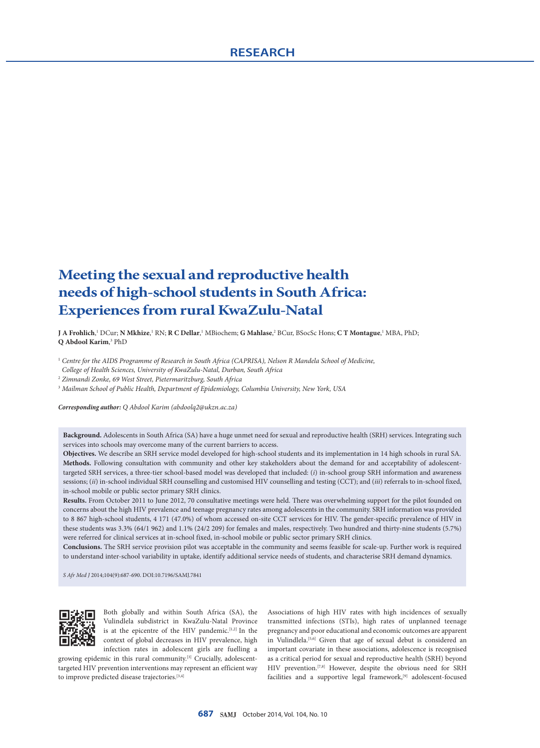# **Meeting the sexual and reproductive health needs of high-school students in South Africa: Experiences from rural KwaZulu-Natal**

**J A Frohlich**,' DCur; **N Mkhize,**' RN; **R C Dellar**,' MBiochem; **G Mahlase,**' BCur, BSocSc Hons; **C T Montague**,' MBA, PhD; **Q Abdool Karim**, 3 PhD

<sup>1</sup> *Centre for the AIDS Programme of Research in South Africa (CAPRISA), Nelson R Mandela School of Medicine, College of Health Sciences, University of KwaZulu-Natal, Durban, South Africa*

<sup>2</sup> *Zimnandi Zonke, 69 West Street, Pietermaritzburg, South Africa*

<sup>3</sup> *Mailman School of Public Health, Department of Epidemiology, Columbia University, New York, USA*

*Corresponding author: Q Abdool Karim (abdoolq2@ukzn.ac.za)*

**Background.** Adolescents in South Africa (SA) have a huge unmet need for sexual and reproductive health (SRH) services. Integrating such services into schools may overcome many of the current barriers to access.

**Objectives.** We describe an SRH service model developed for high-school students and its implementation in 14 high schools in rural SA. **Methods.** Following consultation with community and other key stakeholders about the demand for and acceptability of adolescenttargeted SRH services, a three-tier school-based model was developed that included: (*i*) in-school group SRH information and awareness sessions; (*ii*) in-school individual SRH counselling and customised HIV counselling and testing (CCT); and (*iii*) referrals to in-school fixed, in-school mobile or public sector primary SRH clinics.

**Results.** From October 2011 to June 2012, 70 consultative meetings were held. There was overwhelming support for the pilot founded on concerns about the high HIV prevalence and teenage pregnancy rates among adolescents in the community. SRH information was provided to 8 867 high-school students, 4 171 (47.0%) of whom accessed on-site CCT services for HIV. The gender-specific prevalence of HIV in these students was 3.3% (64/1 962) and 1.1% (24/2 209) for females and males, respectively. Two hundred and thirty-nine students (5.7%) were referred for clinical services at in-school fixed, in-school mobile or public sector primary SRH clinics.

**Conclusions.** The SRH service provision pilot was acceptable in the community and seems feasible for scale-up. Further work is required to understand inter-school variability in uptake, identify additional service needs of students, and characterise SRH demand dynamics.

*S Afr Med J* 2014;104(9):687-690. DOI:10.7196/SAMJ.7841



Both globally and within South Africa (SA), the Vulindlela subdistrict in KwaZulu-Natal Province is at the epicentre of the HIV pandemic.<sup>[1,2]</sup> In the context of global decreases in HIV prevalence, high infection rates in adolescent girls are fuelling a

growing epidemic in this rural community.[3] Crucially, adolescenttargeted HIV prevention interventions may represent an efficient way to improve predicted disease trajectories.<sup>[3,4]</sup>

Associations of high HIV rates with high incidences of sexually transmitted infections (STIs), high rates of unplanned teenage pregnancy and poor educational and economic outcomes are apparent in Vulindlela.<sup>[5,6]</sup> Given that age of sexual debut is considered an important covariate in these associations, adolescence is recognised as a critical period for sexual and reproductive health (SRH) beyond HIV prevention.<sup>[7,8]</sup> However, despite the obvious need for SRH facilities and a supportive legal framework,<sup>[9]</sup> adolescent-focused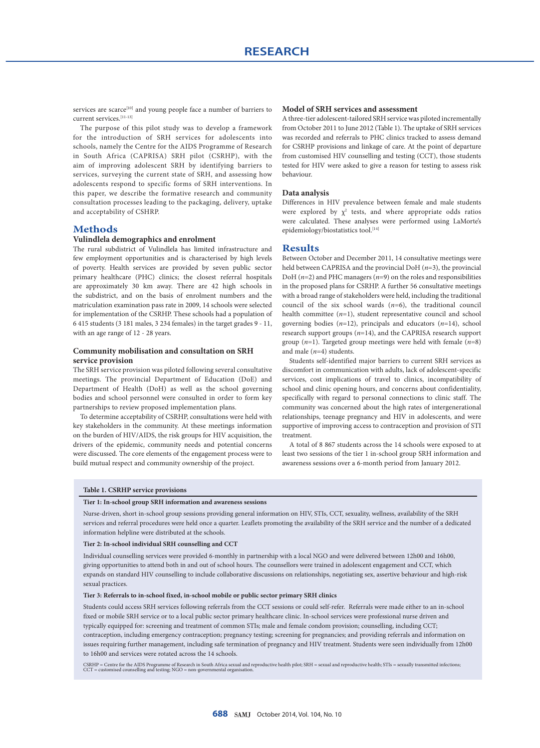services are scarce<sup>[10]</sup> and young people face a number of barriers to current services.[11-13]

The purpose of this pilot study was to develop a framework for the introduction of SRH services for adolescents into schools, namely the Centre for the AIDS Programme of Research in South Africa (CAPRISA) SRH pilot (CSRHP), with the aim of improving adolescent SRH by identifying barriers to services, surveying the current state of SRH, and assessing how adolescents respond to specific forms of SRH interventions. In this paper, we describe the formative research and community consultation processes leading to the packaging, delivery, uptake and acceptability of CSHRP.

# **Methods**

# **Vulindlela demographics and enrolment**

The rural subdistrict of Vulindlela has limited infrastructure and few employment opportunities and is characterised by high levels of poverty. Health services are provided by seven public sector primary healthcare (PHC) clinics; the closest referral hospitals are approximately 30 km away. There are 42 high schools in the subdistrict, and on the basis of enrolment numbers and the matriculation examination pass rate in 2009, 14 schools were selected for implementation of the CSRHP. These schools had a population of 6 415 students (3 181 males, 3 234 females) in the target grades 9 - 11, with an age range of 12 - 28 years.

# **Community mobilisation and consultation on SRH service provision**

The SRH service provision was piloted following several consultative meetings. The provincial Department of Education (DoE) and Department of Health (DoH) as well as the school governing bodies and school personnel were consulted in order to form key partnerships to review proposed implementation plans.

To determine acceptability of CSRHP, consultations were held with key stakeholders in the community. At these meetings information on the burden of HIV/AIDS, the risk groups for HIV acquisition, the drivers of the epidemic, community needs and potential concerns were discussed. The core elements of the engagement process were to build mutual respect and community ownership of the project.

#### **Model of SRH services and assessment**

A three-tier adolescent-tailored SRH service was piloted incrementally from October 2011 to June 2012 (Table 1). The uptake of SRH services was recorded and referrals to PHC clinics tracked to assess demand for CSRHP provisions and linkage of care. At the point of departure from customised HIV counselling and testing (CCT), those students tested for HIV were asked to give a reason for testing to assess risk behaviour.

# **Data analysis**

Differences in HIV prevalence between female and male students were explored by  $\chi^2$  tests, and where appropriate odds ratios were calculated. These analyses were performed using LaMorte's epidemiology/biostatistics tool.<sup>[14]</sup>

### **Results**

Between October and December 2011, 14 consultative meetings were held between CAPRISA and the provincial DoH (*n*=3), the provincial DoH (*n*=2) and PHC managers (*n*=9) on the roles and responsibilities in the proposed plans for CSRHP. A further 56 consultative meetings with a broad range of stakeholders were held, including the traditional council of the six school wards (*n*=6), the traditional council health committee (*n*=1), student representative council and school governing bodies (*n*=12), principals and educators (*n*=14), school research support groups (*n*=14), and the CAPRISA research support group (*n*=1). Targeted group meetings were held with female (*n*=8) and male (*n*=4) students.

Students self-identified major barriers to current SRH services as discomfort in communication with adults, lack of adolescent-specific services, cost implications of travel to clinics, incompatibility of school and clinic opening hours, and concerns about confidentiality, specifically with regard to personal connections to clinic staff. The community was concerned about the high rates of intergenerational relationships, teenage pregnancy and HIV in adolescents, and were supportive of improving access to contraception and provision of STI treatment.

A total of 8 867 students across the 14 schools were exposed to at least two sessions of the tier 1 in-school group SRH information and awareness sessions over a 6-month period from January 2012.

#### **Table 1. CSRHP service provisions**

#### **Tier 1: In-school group SRH information and awareness sessions**

Nurse-driven, short in-school group sessions providing general information on HIV, STIs, CCT, sexuality, wellness, availability of the SRH services and referral procedures were held once a quarter. Leaflets promoting the availability of the SRH service and the number of a dedicated information helpline were distributed at the schools.

# **Tier 2: In-school individual SRH counselling and CCT**

Individual counselling services were provided 6-monthly in partnership with a local NGO and were delivered between 12h00 and 16h00, giving opportunities to attend both in and out of school hours. The counsellors were trained in adolescent engagement and CCT, which expands on standard HIV counselling to include collaborative discussions on relationships, negotiating sex, assertive behaviour and high-risk sexual practices.

#### **Tier 3: Referrals to in-school fixed, in-school mobile or public sector primary SRH clinics**

Students could access SRH services following referrals from the CCT sessions or could self-refer. Referrals were made either to an in-school fixed or mobile SRH service or to a local public sector primary healthcare clinic. In-school services were professional nurse driven and typically equipped for: screening and treatment of common STIs; male and female condom provision; counselling, including CCT; contraception, including emergency contraception; pregnancy testing; screening for pregnancies; and providing referrals and information on issues requiring further management, including safe termination of pregnancy and HIV treatment. Students were seen individually from 12h00 to 16h00 and services were rotated across the 14 schools.

CSRHP = Centre for the AIDS Programme of Research in South Africa sexual and reproductive health pilot; SRH = sexual and reproductive health; STIs = sexually transmitted infections;<br>CCT = customised counselling and testing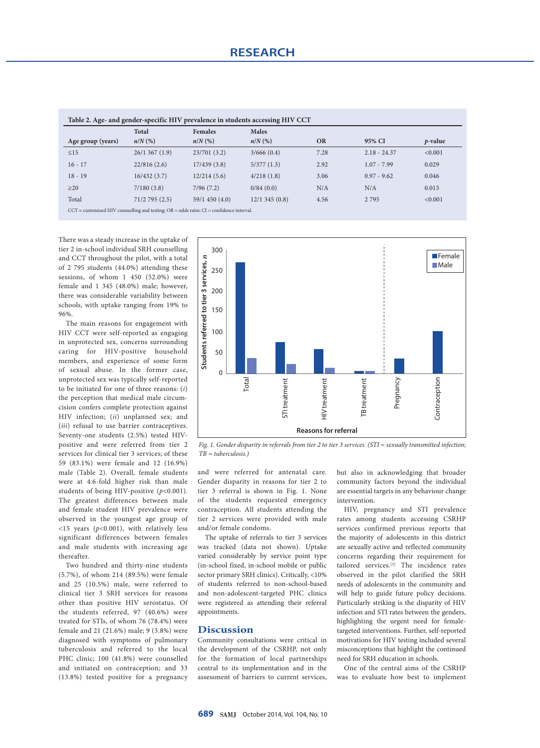| Table 2. Age- and gender-specific HIV prevalence in students accessing HIV CCT                 |              |                |              |           |                |            |
|------------------------------------------------------------------------------------------------|--------------|----------------|--------------|-----------|----------------|------------|
|                                                                                                | <b>Total</b> | <b>Females</b> | <b>Males</b> |           |                |            |
| Age group (years)                                                                              | $n/N$ (%)    | $n/N$ (%)      | $n/N$ (%)    | <b>OR</b> | 95% CI         | $p$ -value |
| $\leq$ 15                                                                                      | 26/1367(1.9) | 23/701(3.2)    | 3/666(0.4)   | 7.28      | $2.18 - 24.37$ | < 0.001    |
| $16 - 17$                                                                                      | 22/816(2.6)  | 17/439(3.8)    | 5/377(1.3)   | 2.92      | $1.07 - 7.99$  | 0.029      |
| $18 - 19$                                                                                      | 16/432(3.7)  | 12/214(5.6)    | 4/218(1.8)   | 3.06      | $0.97 - 9.62$  | 0.046      |
| $\geq$ 20                                                                                      | 7/180(3.8)   | 7/96(7.2)      | 0/84(0.0)    | N/A       | N/A            | 0.015      |
| Total                                                                                          | 71/2795(2.5) | 59/1 450 (4.0) | 12/1345(0.8) | 4.56      | 2 7 9 5        | < 0.001    |
| $CCT$ = customised HIV counselling and testing; $OR = odds$ ratio; $CI = confidence$ interval. |              |                |              |           |                |            |

**Table 2. Age- and gender-specific HIV prevalence in students accessing HIV CCT**

There was a steady increase in the uptake of tier 2 in-school individual SRH counselling and CCT throughout the pilot, with a total of 2 795 students (44.0%) attending these sessions, of whom 1 450 (52.0%) were female and 1 345 (48.0%) male; however, there was considerable variability between schools, with uptake ranging from 19% to 96%.

The main reasons for engagement with HIV CCT were self-reported as engaging in unprotected sex, concerns surrounding caring for HIV-positive household members, and experience of some form of sexual abuse. In the former case, unprotected sex was typically self-reported to be initiated for one of three reasons: (*i*) the perception that medical male circumcision confers complete protection against HIV infection; (*ii*) unplanned sex; and (*iii*) refusal to use barrier contraceptives. Seventy-one students (2.5%) tested HIVpositive and were referred from tier 2 services for clinical tier 3 services; of these 59 (83.1%) were female and 12 (16.9%) male (Table 2). Overall, female students were at 4.6-fold higher risk than male students of being HIV-positive ( $p$ <0.001). The greatest differences between male and female student HIV prevalence were observed in the youngest age group of <15 years (*p*<0.001), with relatively less significant differences between females and male students with increasing age thereafter.

Two hundred and thirty-nine students (5.7%), of whom 214 (89.5%) were female and 25 (10.5%) male, were referred to clinical tier 3 SRH services for reasons other than positive HIV serostatus. Of the students referred, 97 (40.6%) were treated for STIs, of whom 76 (78.4%) were female and 21 (21.6%) male; 9 (3.8%) were diagnosed with symptoms of pulmonary tuberculosis and referred to the local PHC clinic; 100 (41.8%) were counselled and initiated on contraception; and 33 (13.8%) tested positive for a pregnancy



*Fig. 1. Gender disparity in referrals from tier 2 to tier 3 services. (STI = sexually transmitted infection; TB = tuberculosis.)*

and were referred for antenatal care. Gender disparity in reasons for tier 2 to tier 3 referral is shown in Fig. 1. None of the students requested emergency contraception. All students attending the tier 2 services were provided with male and/or female condoms.

The uptake of referrals to tier 3 services was tracked (data not shown). Uptake varied considerably by service point type (in-school fixed, in-school mobile or public sector primary SRH clinics). Critically, <10% of students referred to non-school-based and non-adolescent-targeted PHC clinics were registered as attending their referral appointments.

# **Discussion**

Community consultations were critical in the development of the CSRHP, not only for the formation of local partnerships central to its implementation and in the assessment of barriers to current services,

but also in acknowledging that broader community factors beyond the individual are essential targets in any behaviour change intervention.

HIV, pregnancy and STI prevalence rates among students accessing CSRHP services confirmed previous reports that the majority of adolescents in this district are sexually active and reflected community concerns regarding their requirement for tailored services.[5] The incidence rates observed in the pilot clarified the SRH needs of adolescents in the community and will help to guide future policy decisions. Particularly striking is the disparity of HIV infection and STI rates between the genders, highlighting the urgent need for femaletargeted interventions. Further, self-reported motivations for HIV testing included several misconceptions that highlight the continued need for SRH education in schools.

One of the central aims of the CSRHP was to evaluate how best to implement